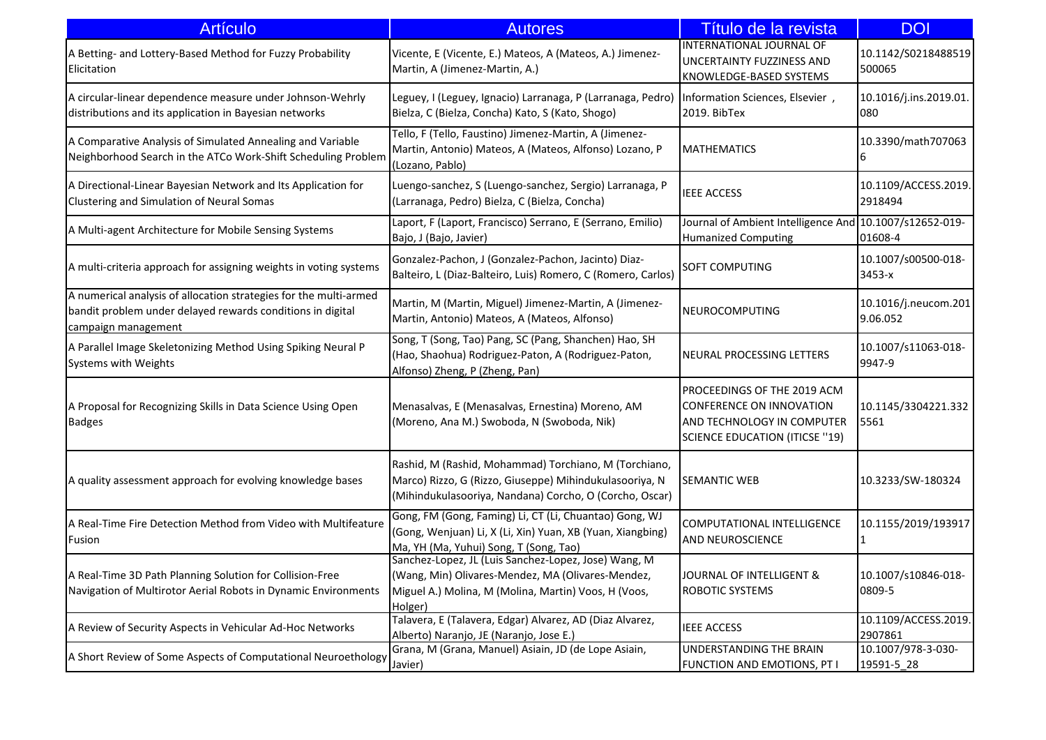| <b>Artículo</b>                                                                                                                                        | <b>Autores</b>                                                                                                                                                               | Título de la revista                                                                                                           | <b>DOI</b>                       |
|--------------------------------------------------------------------------------------------------------------------------------------------------------|------------------------------------------------------------------------------------------------------------------------------------------------------------------------------|--------------------------------------------------------------------------------------------------------------------------------|----------------------------------|
| A Betting- and Lottery-Based Method for Fuzzy Probability<br>Elicitation                                                                               | Vicente, E (Vicente, E.) Mateos, A (Mateos, A.) Jimenez-<br>Martin, A (Jimenez-Martin, A.)                                                                                   | INTERNATIONAL JOURNAL OF<br>UNCERTAINTY FUZZINESS AND<br>KNOWLEDGE-BASED SYSTEMS                                               | 10.1142/S0218488519<br>500065    |
| A circular-linear dependence measure under Johnson-Wehrly<br>distributions and its application in Bayesian networks                                    | Leguey, I (Leguey, Ignacio) Larranaga, P (Larranaga, Pedro)<br>Bielza, C (Bielza, Concha) Kato, S (Kato, Shogo)                                                              | Information Sciences, Elsevier,<br>2019. BibTex                                                                                | 10.1016/j.ins.2019.01.<br>080    |
| A Comparative Analysis of Simulated Annealing and Variable<br>Neighborhood Search in the ATCo Work-Shift Scheduling Problem                            | Tello, F (Tello, Faustino) Jimenez-Martin, A (Jimenez-<br>Martin, Antonio) Mateos, A (Mateos, Alfonso) Lozano, P<br>(Lozano, Pablo)                                          | <b>MATHEMATICS</b>                                                                                                             | 10.3390/math707063               |
| A Directional-Linear Bayesian Network and Its Application for<br>Clustering and Simulation of Neural Somas                                             | Luengo-sanchez, S (Luengo-sanchez, Sergio) Larranaga, P<br>(Larranaga, Pedro) Bielza, C (Bielza, Concha)                                                                     | <b>IEEE ACCESS</b>                                                                                                             | 10.1109/ACCESS.2019.<br>2918494  |
| A Multi-agent Architecture for Mobile Sensing Systems                                                                                                  | Laport, F (Laport, Francisco) Serrano, E (Serrano, Emilio)<br>Bajo, J (Bajo, Javier)                                                                                         | Journal of Ambient Intelligence And<br><b>Humanized Computing</b>                                                              | 10.1007/s12652-019-<br>01608-4   |
| A multi-criteria approach for assigning weights in voting systems                                                                                      | Gonzalez-Pachon, J (Gonzalez-Pachon, Jacinto) Diaz-<br>Balteiro, L (Diaz-Balteiro, Luis) Romero, C (Romero, Carlos)                                                          | SOFT COMPUTING                                                                                                                 | 10.1007/s00500-018-<br>3453-x    |
| A numerical analysis of allocation strategies for the multi-armed<br>bandit problem under delayed rewards conditions in digital<br>campaign management | Martin, M (Martin, Miguel) Jimenez-Martin, A (Jimenez-<br>Martin, Antonio) Mateos, A (Mateos, Alfonso)                                                                       | NEUROCOMPUTING                                                                                                                 | 10.1016/j.neucom.201<br>9.06.052 |
| A Parallel Image Skeletonizing Method Using Spiking Neural P<br>Systems with Weights                                                                   | Song, T (Song, Tao) Pang, SC (Pang, Shanchen) Hao, SH<br>(Hao, Shaohua) Rodriguez-Paton, A (Rodriguez-Paton,<br>Alfonso) Zheng, P (Zheng, Pan)                               | NEURAL PROCESSING LETTERS                                                                                                      | 10.1007/s11063-018-<br>9947-9    |
| A Proposal for Recognizing Skills in Data Science Using Open<br><b>Badges</b>                                                                          | Menasalvas, E (Menasalvas, Ernestina) Moreno, AM<br>(Moreno, Ana M.) Swoboda, N (Swoboda, Nik)                                                                               | PROCEEDINGS OF THE 2019 ACM<br>CONFERENCE ON INNOVATION<br>AND TECHNOLOGY IN COMPUTER<br><b>SCIENCE EDUCATION (ITICSE "19)</b> | 10.1145/3304221.332<br>5561      |
| A quality assessment approach for evolving knowledge bases                                                                                             | Rashid, M (Rashid, Mohammad) Torchiano, M (Torchiano,<br>Marco) Rizzo, G (Rizzo, Giuseppe) Mihindukulasooriya, N<br>(Mihindukulasooriya, Nandana) Corcho, O (Corcho, Oscar)  | <b>SEMANTIC WEB</b>                                                                                                            | 10.3233/SW-180324                |
| A Real-Time Fire Detection Method from Video with Multifeature<br>Fusion                                                                               | Gong, FM (Gong, Faming) Li, CT (Li, Chuantao) Gong, WJ<br>(Gong, Wenjuan) Li, X (Li, Xin) Yuan, XB (Yuan, Xiangbing)<br>Ma, YH (Ma, Yuhui) Song, T (Song, Tao)               | COMPUTATIONAL INTELLIGENCE<br>AND NEUROSCIENCE                                                                                 | 10.1155/2019/193917              |
| A Real-Time 3D Path Planning Solution for Collision-Free<br>Navigation of Multirotor Aerial Robots in Dynamic Environments                             | Sanchez-Lopez, JL (Luis Sanchez-Lopez, Jose) Wang, M<br>(Wang, Min) Olivares-Mendez, MA (Olivares-Mendez,<br>Miguel A.) Molina, M (Molina, Martin) Voos, H (Voos,<br>Holger) | JOURNAL OF INTELLIGENT &<br><b>ROBOTIC SYSTEMS</b>                                                                             | 10.1007/s10846-018-<br>0809-5    |
| A Review of Security Aspects in Vehicular Ad-Hoc Networks                                                                                              | Talavera, E (Talavera, Edgar) Alvarez, AD (Diaz Alvarez,<br>Alberto) Naranjo, JE (Naranjo, Jose E.)                                                                          | <b>IEEE ACCESS</b>                                                                                                             | 10.1109/ACCESS.2019.<br>2907861  |
| A Short Review of Some Aspects of Computational Neuroethology                                                                                          | Grana, M (Grana, Manuel) Asiain, JD (de Lope Asiain,<br>Javier)                                                                                                              | UNDERSTANDING THE BRAIN<br>FUNCTION AND EMOTIONS, PT I                                                                         | 10.1007/978-3-030-<br>19591-5_28 |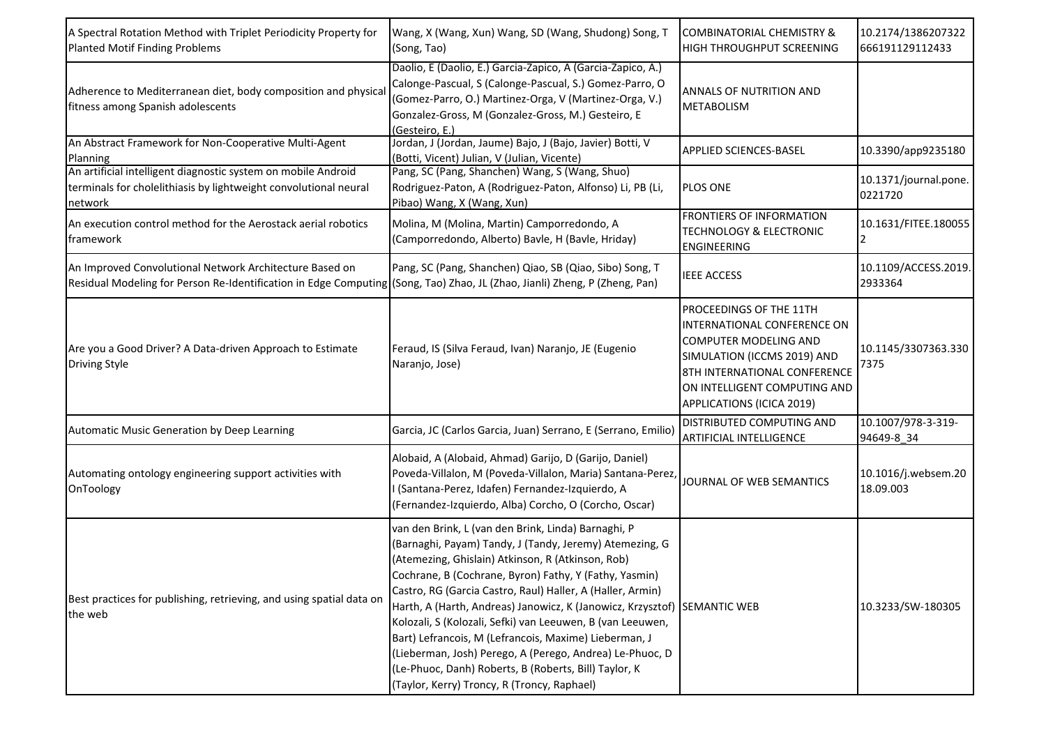| A Spectral Rotation Method with Triplet Periodicity Property for<br><b>Planted Motif Finding Problems</b>                                                                             | Wang, X (Wang, Xun) Wang, SD (Wang, Shudong) Song, T<br>(Song, Tao)                                                                                                                                                                                                                                                                                                                                                                                                                                                                                                                                                                                                | <b>COMBINATORIAL CHEMISTRY &amp;</b><br><b>HIGH THROUGHPUT SCREENING</b>                                                                                                                                    | 10.2174/1386207322<br>666191129112433 |
|---------------------------------------------------------------------------------------------------------------------------------------------------------------------------------------|--------------------------------------------------------------------------------------------------------------------------------------------------------------------------------------------------------------------------------------------------------------------------------------------------------------------------------------------------------------------------------------------------------------------------------------------------------------------------------------------------------------------------------------------------------------------------------------------------------------------------------------------------------------------|-------------------------------------------------------------------------------------------------------------------------------------------------------------------------------------------------------------|---------------------------------------|
| Adherence to Mediterranean diet, body composition and physica<br>fitness among Spanish adolescents                                                                                    | Daolio, E (Daolio, E.) Garcia-Zapico, A (Garcia-Zapico, A.)<br>Calonge-Pascual, S (Calonge-Pascual, S.) Gomez-Parro, O<br>(Gomez-Parro, O.) Martinez-Orga, V (Martinez-Orga, V.)<br>Gonzalez-Gross, M (Gonzalez-Gross, M.) Gesteiro, E<br>(Gesteiro, E.)                                                                                                                                                                                                                                                                                                                                                                                                           | <b>ANNALS OF NUTRITION AND</b><br><b>METABOLISM</b>                                                                                                                                                         |                                       |
| An Abstract Framework for Non-Cooperative Multi-Agent<br>Planning                                                                                                                     | Jordan, J (Jordan, Jaume) Bajo, J (Bajo, Javier) Botti, V<br>(Botti, Vicent) Julian, V (Julian, Vicente)                                                                                                                                                                                                                                                                                                                                                                                                                                                                                                                                                           | <b>APPLIED SCIENCES-BASEL</b>                                                                                                                                                                               | 10.3390/app9235180                    |
| An artificial intelligent diagnostic system on mobile Android<br>terminals for cholelithiasis by lightweight convolutional neural<br>network                                          | Pang, SC (Pang, Shanchen) Wang, S (Wang, Shuo)<br>Rodriguez-Paton, A (Rodriguez-Paton, Alfonso) Li, PB (Li,<br>Pibao) Wang, X (Wang, Xun)                                                                                                                                                                                                                                                                                                                                                                                                                                                                                                                          | <b>PLOS ONE</b>                                                                                                                                                                                             | 10.1371/journal.pone.<br>0221720      |
| An execution control method for the Aerostack aerial robotics<br>framework                                                                                                            | Molina, M (Molina, Martin) Camporredondo, A<br>(Camporredondo, Alberto) Bavle, H (Bavle, Hriday)                                                                                                                                                                                                                                                                                                                                                                                                                                                                                                                                                                   | <b>FRONTIERS OF INFORMATION</b><br><b>TECHNOLOGY &amp; ELECTRONIC</b><br><b>ENGINEERING</b>                                                                                                                 | 10.1631/FITEE.180055                  |
| An Improved Convolutional Network Architecture Based on<br>Residual Modeling for Person Re-Identification in Edge Computing (Song, Tao) Zhao, JL (Zhao, Jianli) Zheng, P (Zheng, Pan) | Pang, SC (Pang, Shanchen) Qiao, SB (Qiao, Sibo) Song, T                                                                                                                                                                                                                                                                                                                                                                                                                                                                                                                                                                                                            | <b>IEEE ACCESS</b>                                                                                                                                                                                          | 10.1109/ACCESS.2019.<br>2933364       |
| Are you a Good Driver? A Data-driven Approach to Estimate<br><b>Driving Style</b>                                                                                                     | Feraud, IS (Silva Feraud, Ivan) Naranjo, JE (Eugenio<br>Naranjo, Jose)                                                                                                                                                                                                                                                                                                                                                                                                                                                                                                                                                                                             | PROCEEDINGS OF THE 11TH<br>INTERNATIONAL CONFERENCE ON<br>COMPUTER MODELING AND<br>SIMULATION (ICCMS 2019) AND<br>8TH INTERNATIONAL CONFERENCE<br>ON INTELLIGENT COMPUTING AND<br>APPLICATIONS (ICICA 2019) | 10.1145/3307363.330<br>7375           |
| Automatic Music Generation by Deep Learning                                                                                                                                           | Garcia, JC (Carlos Garcia, Juan) Serrano, E (Serrano, Emilio)                                                                                                                                                                                                                                                                                                                                                                                                                                                                                                                                                                                                      | DISTRIBUTED COMPUTING AND<br><b>ARTIFICIAL INTELLIGENCE</b>                                                                                                                                                 | 10.1007/978-3-319-<br>94649-8_34      |
| Automating ontology engineering support activities with<br>OnToology                                                                                                                  | Alobaid, A (Alobaid, Ahmad) Garijo, D (Garijo, Daniel)<br>Poveda-Villalon, M (Poveda-Villalon, Maria) Santana-Perez,<br>(Santana-Perez, Idafen) Fernandez-Izquierdo, A<br>(Fernandez-Izquierdo, Alba) Corcho, O (Corcho, Oscar)                                                                                                                                                                                                                                                                                                                                                                                                                                    | JOURNAL OF WEB SEMANTICS                                                                                                                                                                                    | 10.1016/j.websem.20<br>18.09.003      |
| Best practices for publishing, retrieving, and using spatial data on<br>the web                                                                                                       | van den Brink, L (van den Brink, Linda) Barnaghi, P<br>(Barnaghi, Payam) Tandy, J (Tandy, Jeremy) Atemezing, G<br>(Atemezing, Ghislain) Atkinson, R (Atkinson, Rob)<br>Cochrane, B (Cochrane, Byron) Fathy, Y (Fathy, Yasmin)<br>Castro, RG (Garcia Castro, Raul) Haller, A (Haller, Armin)<br>Harth, A (Harth, Andreas) Janowicz, K (Janowicz, Krzysztof) SEMANTIC WEB<br>Kolozali, S (Kolozali, Sefki) van Leeuwen, B (van Leeuwen,<br>Bart) Lefrancois, M (Lefrancois, Maxime) Lieberman, J<br>(Lieberman, Josh) Perego, A (Perego, Andrea) Le-Phuoc, D<br>(Le-Phuoc, Danh) Roberts, B (Roberts, Bill) Taylor, K<br>(Taylor, Kerry) Troncy, R (Troncy, Raphael) |                                                                                                                                                                                                             | 10.3233/SW-180305                     |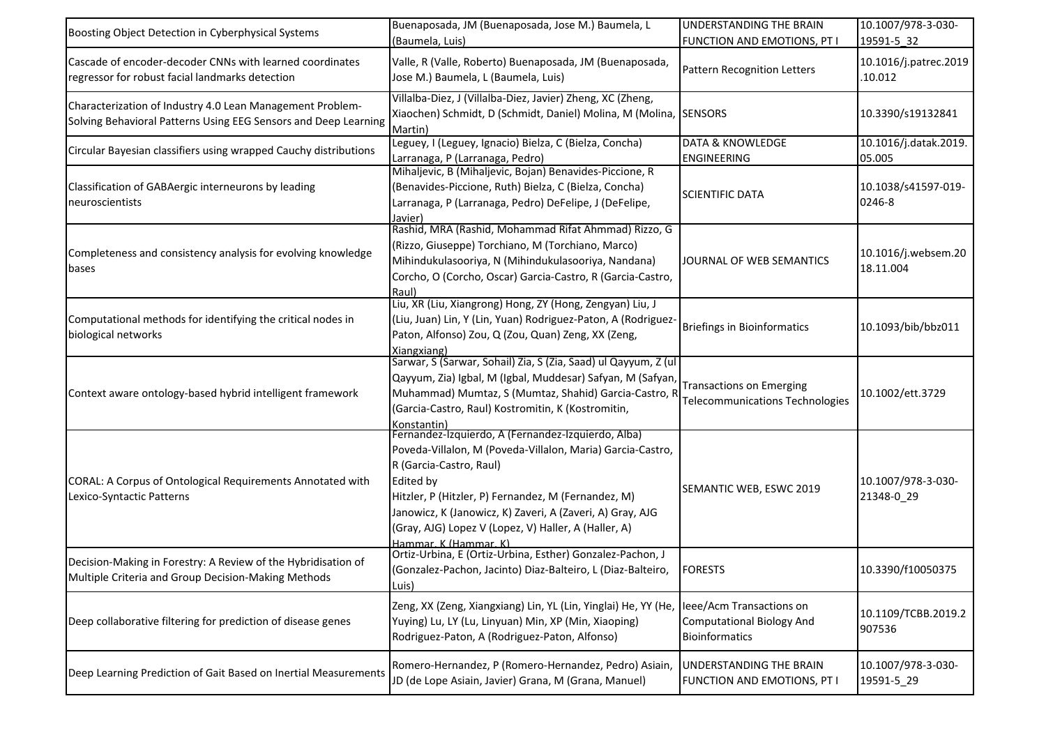| Boosting Object Detection in Cyberphysical Systems                                                                           | Buenaposada, JM (Buenaposada, Jose M.) Baumela, L<br>(Baumela, Luis)                                                                                                                                                                                                                                                                                          | UNDERSTANDING THE BRAIN<br>FUNCTION AND EMOTIONS, PT I                                | 10.1007/978-3-030-<br>19591-5 32 |
|------------------------------------------------------------------------------------------------------------------------------|---------------------------------------------------------------------------------------------------------------------------------------------------------------------------------------------------------------------------------------------------------------------------------------------------------------------------------------------------------------|---------------------------------------------------------------------------------------|----------------------------------|
| Cascade of encoder-decoder CNNs with learned coordinates<br>regressor for robust facial landmarks detection                  | Valle, R (Valle, Roberto) Buenaposada, JM (Buenaposada,<br>Jose M.) Baumela, L (Baumela, Luis)                                                                                                                                                                                                                                                                | Pattern Recognition Letters                                                           | 10.1016/j.patrec.2019<br>.10.012 |
| Characterization of Industry 4.0 Lean Management Problem-<br>Solving Behavioral Patterns Using EEG Sensors and Deep Learning | Villalba-Diez, J (Villalba-Diez, Javier) Zheng, XC (Zheng,<br>Xiaochen) Schmidt, D (Schmidt, Daniel) Molina, M (Molina, SENSORS<br>Martin)                                                                                                                                                                                                                    |                                                                                       | 10.3390/s19132841                |
| Circular Bayesian classifiers using wrapped Cauchy distributions                                                             | Leguey, I (Leguey, Ignacio) Bielza, C (Bielza, Concha)<br>Larranaga, P (Larranaga, Pedro)                                                                                                                                                                                                                                                                     | <b>DATA &amp; KNOWLEDGE</b><br><b>ENGINEERING</b>                                     | 10.1016/j.datak.2019.<br>05.005  |
| Classification of GABAergic interneurons by leading<br>neuroscientists                                                       | Mihaljevic, B (Mihaljevic, Bojan) Benavides-Piccione, R<br>(Benavides-Piccione, Ruth) Bielza, C (Bielza, Concha)<br>Larranaga, P (Larranaga, Pedro) DeFelipe, J (DeFelipe,<br>Javier)                                                                                                                                                                         | <b>SCIENTIFIC DATA</b>                                                                | 10.1038/s41597-019-<br>0246-8    |
| Completeness and consistency analysis for evolving knowledge<br>bases                                                        | Rashid, MRA (Rashid, Mohammad Rifat Ahmmad) Rizzo, G<br>(Rizzo, Giuseppe) Torchiano, M (Torchiano, Marco)<br>Mihindukulasooriya, N (Mihindukulasooriya, Nandana)<br>Corcho, O (Corcho, Oscar) Garcia-Castro, R (Garcia-Castro,<br>Raul)                                                                                                                       | JOURNAL OF WEB SEMANTICS                                                              | 10.1016/j.websem.20<br>18.11.004 |
| Computational methods for identifying the critical nodes in<br>biological networks                                           | Liu, XR (Liu, Xiangrong) Hong, ZY (Hong, Zengyan) Liu, J<br>(Liu, Juan) Lin, Y (Lin, Yuan) Rodriguez-Paton, A (Rodriguez-<br>Paton, Alfonso) Zou, Q (Zou, Quan) Zeng, XX (Zeng,<br>Xiangxiang)                                                                                                                                                                | Briefings in Bioinformatics                                                           | 10.1093/bib/bbz011               |
| Context aware ontology-based hybrid intelligent framework                                                                    | Sarwar, S (Sarwar, Sohail) Zia, S (Zia, Saad) ul Qayyum, Z (ul<br>Qayyum, Zia) Igbal, M (Igbal, Muddesar) Safyan, M (Safyan,<br>Muhammad) Mumtaz, S (Mumtaz, Shahid) Garcia-Castro, R<br>(Garcia-Castro, Raul) Kostromitin, K (Kostromitin,<br>Konstantin)                                                                                                    | <b>Transactions on Emerging</b><br>Telecommunications Technologies                    | 10.1002/ett.3729                 |
| CORAL: A Corpus of Ontological Requirements Annotated with<br>Lexico-Syntactic Patterns                                      | Fernandez-Izquierdo, A (Fernandez-Izquierdo, Alba)<br>Poveda-Villalon, M (Poveda-Villalon, Maria) Garcia-Castro,<br>R (Garcia-Castro, Raul)<br>Edited by<br>Hitzler, P (Hitzler, P) Fernandez, M (Fernandez, M)<br>Janowicz, K (Janowicz, K) Zaveri, A (Zaveri, A) Gray, AJG<br>(Gray, AJG) Lopez V (Lopez, V) Haller, A (Haller, A)<br>Hammar, K (Hammar, K) | SEMANTIC WEB, ESWC 2019                                                               | 10.1007/978-3-030-<br>21348-0 29 |
| Decision-Making in Forestry: A Review of the Hybridisation of<br>Multiple Criteria and Group Decision-Making Methods         | Ortiz-Urbina, E (Ortiz-Urbina, Esther) Gonzalez-Pachon, J<br>(Gonzalez-Pachon, Jacinto) Diaz-Balteiro, L (Diaz-Balteiro,<br>Luis)                                                                                                                                                                                                                             | <b>FORESTS</b>                                                                        | 10.3390/f10050375                |
| Deep collaborative filtering for prediction of disease genes                                                                 | Zeng, XX (Zeng, Xiangxiang) Lin, YL (Lin, Yinglai) He, YY (He,<br>Yuying) Lu, LY (Lu, Linyuan) Min, XP (Min, Xiaoping)<br>Rodriguez-Paton, A (Rodriguez-Paton, Alfonso)                                                                                                                                                                                       | leee/Acm Transactions on<br><b>Computational Biology And</b><br><b>Bioinformatics</b> | 10.1109/TCBB.2019.2<br>907536    |
| Deep Learning Prediction of Gait Based on Inertial Measurements                                                              | Romero-Hernandez, P (Romero-Hernandez, Pedro) Asiain,<br>JD (de Lope Asiain, Javier) Grana, M (Grana, Manuel)                                                                                                                                                                                                                                                 | UNDERSTANDING THE BRAIN<br>FUNCTION AND EMOTIONS, PT I                                | 10.1007/978-3-030-<br>19591-5_29 |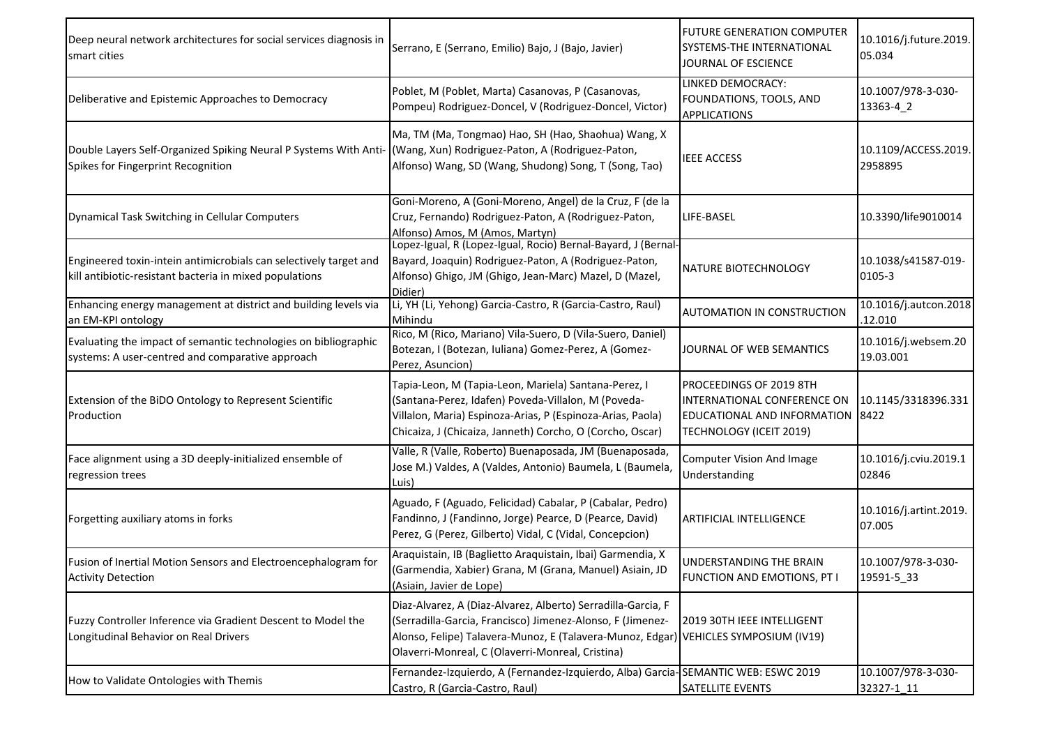| Deep neural network architectures for social services diagnosis in<br>smart cities                                           | Serrano, E (Serrano, Emilio) Bajo, J (Bajo, Javier)                                                                                                                                                                                                                   | FUTURE GENERATION COMPUTER<br><b>SYSTEMS-THE INTERNATIONAL</b><br>JOURNAL OF ESCIENCE                            | 10.1016/j.future.2019.<br>05.034 |
|------------------------------------------------------------------------------------------------------------------------------|-----------------------------------------------------------------------------------------------------------------------------------------------------------------------------------------------------------------------------------------------------------------------|------------------------------------------------------------------------------------------------------------------|----------------------------------|
| Deliberative and Epistemic Approaches to Democracy                                                                           | Poblet, M (Poblet, Marta) Casanovas, P (Casanovas,<br>Pompeu) Rodriguez-Doncel, V (Rodriguez-Doncel, Victor)                                                                                                                                                          | <b>LINKED DEMOCRACY:</b><br>FOUNDATIONS, TOOLS, AND<br><b>APPLICATIONS</b>                                       | 10.1007/978-3-030-<br>13363-4 2  |
| Double Layers Self-Organized Spiking Neural P Systems With Anti-<br>Spikes for Fingerprint Recognition                       | Ma, TM (Ma, Tongmao) Hao, SH (Hao, Shaohua) Wang, X<br>(Wang, Xun) Rodriguez-Paton, A (Rodriguez-Paton,<br>Alfonso) Wang, SD (Wang, Shudong) Song, T (Song, Tao)                                                                                                      | <b>IEEE ACCESS</b>                                                                                               | 10.1109/ACCESS.2019.<br>2958895  |
| Dynamical Task Switching in Cellular Computers                                                                               | Goni-Moreno, A (Goni-Moreno, Angel) de la Cruz, F (de la<br>Cruz, Fernando) Rodriguez-Paton, A (Rodriguez-Paton,<br>Alfonso) Amos, M (Amos, Martyn)                                                                                                                   | LIFE-BASEL                                                                                                       | 10.3390/life9010014              |
| Engineered toxin-intein antimicrobials can selectively target and<br>kill antibiotic-resistant bacteria in mixed populations | Lopez-Igual, R (Lopez-Igual, Rocio) Bernal-Bayard, J (Bernal-<br>Bayard, Joaquin) Rodriguez-Paton, A (Rodriguez-Paton,<br>Alfonso) Ghigo, JM (Ghigo, Jean-Marc) Mazel, D (Mazel,<br>Didier)                                                                           | NATURE BIOTECHNOLOGY                                                                                             | 10.1038/s41587-019-<br>0105-3    |
| Enhancing energy management at district and building levels via<br>an EM-KPI ontology                                        | Li, YH (Li, Yehong) Garcia-Castro, R (Garcia-Castro, Raul)<br>Mihindu                                                                                                                                                                                                 | <b>AUTOMATION IN CONSTRUCTION</b>                                                                                | 10.1016/j.autcon.2018<br>.12.010 |
| Evaluating the impact of semantic technologies on bibliographic<br>systems: A user-centred and comparative approach          | Rico, M (Rico, Mariano) Vila-Suero, D (Vila-Suero, Daniel)<br>Botezan, I (Botezan, Iuliana) Gomez-Perez, A (Gomez-<br>Perez, Asuncion)                                                                                                                                | JOURNAL OF WEB SEMANTICS                                                                                         | 10.1016/j.websem.20<br>19.03.001 |
| Extension of the BiDO Ontology to Represent Scientific<br>Production                                                         | Tapia-Leon, M (Tapia-Leon, Mariela) Santana-Perez, I<br>(Santana-Perez, Idafen) Poveda-Villalon, M (Poveda-<br>Villalon, Maria) Espinoza-Arias, P (Espinoza-Arias, Paola)<br>Chicaiza, J (Chicaiza, Janneth) Corcho, O (Corcho, Oscar)                                | PROCEEDINGS OF 2019 8TH<br>INTERNATIONAL CONFERENCE ON<br>EDUCATIONAL AND INFORMATION<br>TECHNOLOGY (ICEIT 2019) | 10.1145/3318396.331<br>8422      |
| Face alignment using a 3D deeply-initialized ensemble of<br>regression trees                                                 | Valle, R (Valle, Roberto) Buenaposada, JM (Buenaposada,<br>Jose M.) Valdes, A (Valdes, Antonio) Baumela, L (Baumela,<br>Luis)                                                                                                                                         | <b>Computer Vision And Image</b><br>Understanding                                                                | 10.1016/j.cviu.2019.1<br>02846   |
| Forgetting auxiliary atoms in forks                                                                                          | Aguado, F (Aguado, Felicidad) Cabalar, P (Cabalar, Pedro)<br>Fandinno, J (Fandinno, Jorge) Pearce, D (Pearce, David)<br>Perez, G (Perez, Gilberto) Vidal, C (Vidal, Concepcion)                                                                                       | ARTIFICIAL INTELLIGENCE                                                                                          | 10.1016/j.artint.2019.<br>07.005 |
| Fusion of Inertial Motion Sensors and Electroencephalogram for<br><b>Activity Detection</b>                                  | Araquistain, IB (Baglietto Araquistain, Ibai) Garmendia, X<br>(Garmendia, Xabier) Grana, M (Grana, Manuel) Asiain, JD<br>(Asiain, Javier de Lope)                                                                                                                     | UNDERSTANDING THE BRAIN<br>FUNCTION AND EMOTIONS, PT I                                                           | 10.1007/978-3-030-<br>19591-5_33 |
| Fuzzy Controller Inference via Gradient Descent to Model the<br>Longitudinal Behavior on Real Drivers                        | Diaz-Alvarez, A (Diaz-Alvarez, Alberto) Serradilla-Garcia, F<br>(Serradilla-Garcia, Francisco) Jimenez-Alonso, F (Jimenez-<br>Alonso, Felipe) Talavera-Munoz, E (Talavera-Munoz, Edgar) VEHICLES SYMPOSIUM (IV19)<br>Olaverri-Monreal, C (Olaverri-Monreal, Cristina) | 2019 30TH IEEE INTELLIGENT                                                                                       |                                  |
| How to Validate Ontologies with Themis                                                                                       | Fernandez-Izquierdo, A (Fernandez-Izquierdo, Alba) Garcia-SEMANTIC WEB: ESWC 2019<br>Castro, R (Garcia-Castro, Raul)                                                                                                                                                  | SATELLITE EVENTS                                                                                                 | 10.1007/978-3-030-<br>32327-1_11 |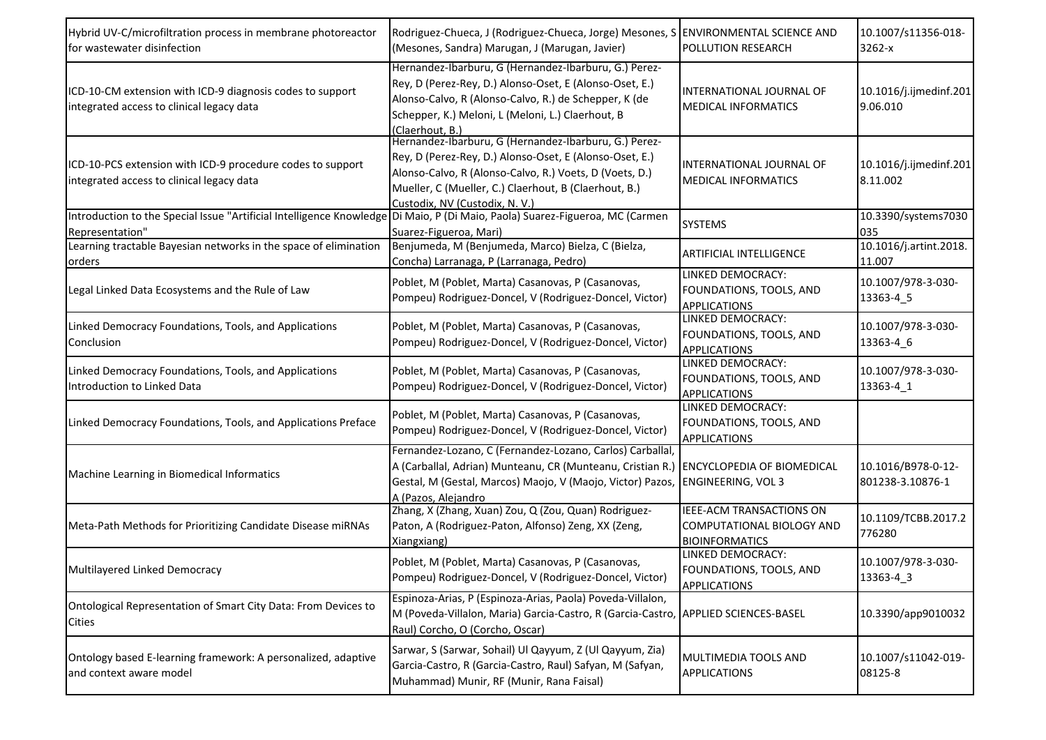| Hybrid UV-C/microfiltration process in membrane photoreactor<br>for wastewater disinfection             | Rodriguez-Chueca, J (Rodriguez-Chueca, Jorge) Mesones, S ENVIRONMENTAL SCIENCE AND<br>(Mesones, Sandra) Marugan, J (Marugan, Javier)                                                                                                                                   | <b>POLLUTION RESEARCH</b>                                                      | 10.1007/s11356-018-<br>$3262-x$        |
|---------------------------------------------------------------------------------------------------------|------------------------------------------------------------------------------------------------------------------------------------------------------------------------------------------------------------------------------------------------------------------------|--------------------------------------------------------------------------------|----------------------------------------|
| ICD-10-CM extension with ICD-9 diagnosis codes to support<br>integrated access to clinical legacy data  | Hernandez-Ibarburu, G (Hernandez-Ibarburu, G.) Perez-<br>Rey, D (Perez-Rey, D.) Alonso-Oset, E (Alonso-Oset, E.)<br>Alonso-Calvo, R (Alonso-Calvo, R.) de Schepper, K (de<br>Schepper, K.) Meloni, L (Meloni, L.) Claerhout, B<br>(Claerhout, B.)                      | <b>INTERNATIONAL JOURNAL OF</b><br><b>MEDICAL INFORMATICS</b>                  | 10.1016/j.ijmedinf.201<br>9.06.010     |
| ICD-10-PCS extension with ICD-9 procedure codes to support<br>integrated access to clinical legacy data | Hernandez-Ibarburu, G (Hernandez-Ibarburu, G.) Perez-<br>Rey, D (Perez-Rey, D.) Alonso-Oset, E (Alonso-Oset, E.)<br>Alonso-Calvo, R (Alonso-Calvo, R.) Voets, D (Voets, D.)<br>Mueller, C (Mueller, C.) Claerhout, B (Claerhout, B.)<br>Custodix, NV (Custodix, N. V.) | INTERNATIONAL JOURNAL OF<br><b>MEDICAL INFORMATICS</b>                         | 10.1016/j.ijmedinf.201<br>8.11.002     |
| Introduction to the Special Issue "Artificial Intelligence Knowledge<br>Representation"                 | Di Maio, P (Di Maio, Paola) Suarez-Figueroa, MC (Carmen<br>Suarez-Figueroa, Mari)                                                                                                                                                                                      | <b>SYSTEMS</b>                                                                 | 10.3390/systems7030<br>035             |
| Learning tractable Bayesian networks in the space of elimination<br>orders                              | Benjumeda, M (Benjumeda, Marco) Bielza, C (Bielza,<br>Concha) Larranaga, P (Larranaga, Pedro)                                                                                                                                                                          | ARTIFICIAL INTELLIGENCE                                                        | 10.1016/j.artint.2018.<br>11.007       |
| Legal Linked Data Ecosystems and the Rule of Law                                                        | Poblet, M (Poblet, Marta) Casanovas, P (Casanovas,<br>Pompeu) Rodriguez-Doncel, V (Rodriguez-Doncel, Victor)                                                                                                                                                           | LINKED DEMOCRACY:<br>FOUNDATIONS, TOOLS, AND<br><b>APPLICATIONS</b>            | 10.1007/978-3-030-<br>13363-4_5        |
| Linked Democracy Foundations, Tools, and Applications<br>Conclusion                                     | Poblet, M (Poblet, Marta) Casanovas, P (Casanovas,<br>Pompeu) Rodriguez-Doncel, V (Rodriguez-Doncel, Victor)                                                                                                                                                           | LINKED DEMOCRACY:<br>FOUNDATIONS, TOOLS, AND<br><b>APPLICATIONS</b>            | 10.1007/978-3-030-<br>13363-4_6        |
| Linked Democracy Foundations, Tools, and Applications<br>Introduction to Linked Data                    | Poblet, M (Poblet, Marta) Casanovas, P (Casanovas,<br>Pompeu) Rodriguez-Doncel, V (Rodriguez-Doncel, Victor)                                                                                                                                                           | LINKED DEMOCRACY:<br>FOUNDATIONS, TOOLS, AND<br><b>APPLICATIONS</b>            | 10.1007/978-3-030-<br>13363-4_1        |
| Linked Democracy Foundations, Tools, and Applications Preface                                           | Poblet, M (Poblet, Marta) Casanovas, P (Casanovas,<br>Pompeu) Rodriguez-Doncel, V (Rodriguez-Doncel, Victor)                                                                                                                                                           | LINKED DEMOCRACY:<br>FOUNDATIONS, TOOLS, AND<br><b>APPLICATIONS</b>            |                                        |
| Machine Learning in Biomedical Informatics                                                              | Fernandez-Lozano, C (Fernandez-Lozano, Carlos) Carballal,<br>A (Carballal, Adrian) Munteanu, CR (Munteanu, Cristian R.)<br>Gestal, M (Gestal, Marcos) Maojo, V (Maojo, Victor) Pazos, ENGINEERING, VOL 3<br>A (Pazos, Alejandro                                        | <b>ENCYCLOPEDIA OF BIOMEDICAL</b>                                              | 10.1016/B978-0-12-<br>801238-3.10876-1 |
| Meta-Path Methods for Prioritizing Candidate Disease miRNAs                                             | Zhang, X (Zhang, Xuan) Zou, Q (Zou, Quan) Rodriguez-<br>Paton, A (Rodriguez-Paton, Alfonso) Zeng, XX (Zeng,<br>Xiangxiang)                                                                                                                                             | IEEE-ACM TRANSACTIONS ON<br>COMPUTATIONAL BIOLOGY AND<br><b>BIOINFORMATICS</b> | 10.1109/TCBB.2017.2<br>776280          |
| Multilayered Linked Democracy                                                                           | Poblet, M (Poblet, Marta) Casanovas, P (Casanovas,<br>Pompeu) Rodriguez-Doncel, V (Rodriguez-Doncel, Victor)                                                                                                                                                           | LINKED DEMOCRACY:<br>FOUNDATIONS, TOOLS, AND<br>APPLICATIONS                   | 10.1007/978-3-030-<br>13363-4_3        |
| Ontological Representation of Smart City Data: From Devices to<br><b>Cities</b>                         | Espinoza-Arias, P (Espinoza-Arias, Paola) Poveda-Villalon,<br>M (Poveda-Villalon, Maria) Garcia-Castro, R (Garcia-Castro, APPLIED SCIENCES-BASEL<br>Raul) Corcho, O (Corcho, Oscar)                                                                                    |                                                                                | 10.3390/app9010032                     |
| Ontology based E-learning framework: A personalized, adaptive<br>and context aware model                | Sarwar, S (Sarwar, Sohail) Ul Qayyum, Z (Ul Qayyum, Zia)<br>Garcia-Castro, R (Garcia-Castro, Raul) Safyan, M (Safyan,<br>Muhammad) Munir, RF (Munir, Rana Faisal)                                                                                                      | MULTIMEDIA TOOLS AND<br><b>APPLICATIONS</b>                                    | 10.1007/s11042-019-<br>08125-8         |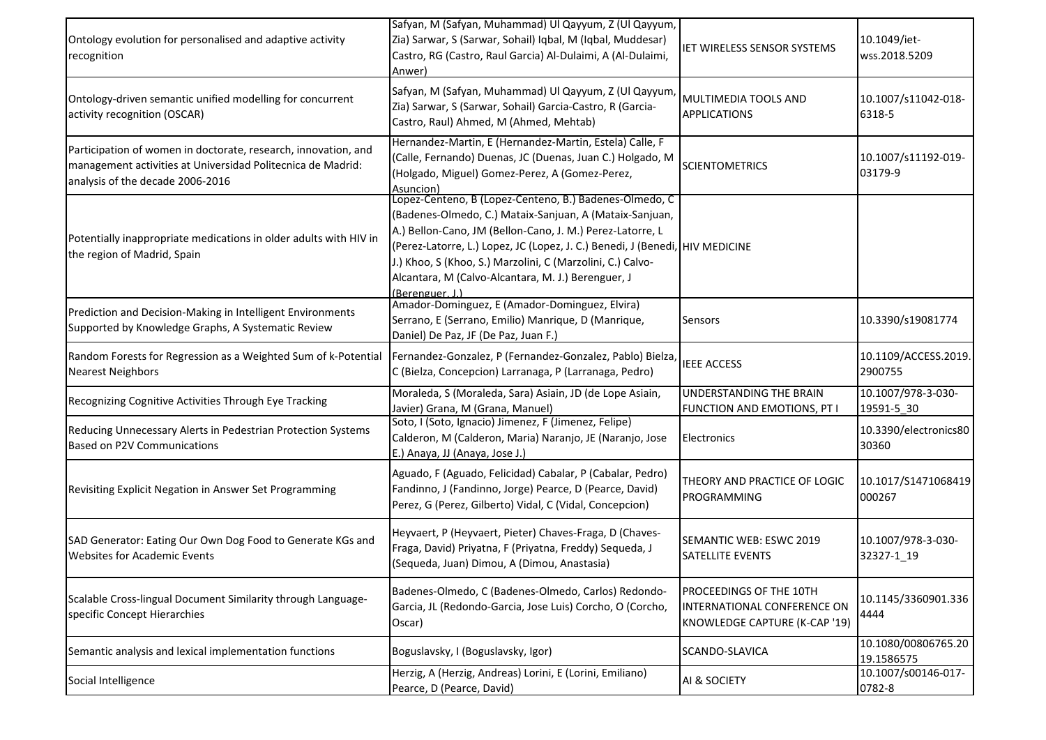| Ontology evolution for personalised and adaptive activity<br>recognition                                                                                          | Safyan, M (Safyan, Muhammad) Ul Qayyum, Z (Ul Qayyum,<br>Zia) Sarwar, S (Sarwar, Sohail) Iqbal, M (Iqbal, Muddesar)<br>Castro, RG (Castro, Raul Garcia) Al-Dulaimi, A (Al-Dulaimi,<br>Anwer)                                                                                                                                                                                                          | IET WIRELESS SENSOR SYSTEMS                                                             | 10.1049/iet-<br>wss.2018.5209     |
|-------------------------------------------------------------------------------------------------------------------------------------------------------------------|-------------------------------------------------------------------------------------------------------------------------------------------------------------------------------------------------------------------------------------------------------------------------------------------------------------------------------------------------------------------------------------------------------|-----------------------------------------------------------------------------------------|-----------------------------------|
| Ontology-driven semantic unified modelling for concurrent<br>activity recognition (OSCAR)                                                                         | Safyan, M (Safyan, Muhammad) Ul Qayyum, Z (Ul Qayyum,<br>Zia) Sarwar, S (Sarwar, Sohail) Garcia-Castro, R (Garcia-<br>Castro, Raul) Ahmed, M (Ahmed, Mehtab)                                                                                                                                                                                                                                          | MULTIMEDIA TOOLS AND<br><b>APPLICATIONS</b>                                             | 10.1007/s11042-018-<br>6318-5     |
| Participation of women in doctorate, research, innovation, and<br>management activities at Universidad Politecnica de Madrid:<br>analysis of the decade 2006-2016 | Hernandez-Martin, E (Hernandez-Martin, Estela) Calle, F<br>(Calle, Fernando) Duenas, JC (Duenas, Juan C.) Holgado, M<br>(Holgado, Miguel) Gomez-Perez, A (Gomez-Perez,<br>Asuncion)                                                                                                                                                                                                                   | <b>SCIENTOMETRICS</b>                                                                   | 10.1007/s11192-019-<br>03179-9    |
| Potentially inappropriate medications in older adults with HIV in<br>the region of Madrid, Spain                                                                  | Lopez-Centeno, B (Lopez-Centeno, B.) Badenes-Olmedo, C<br>(Badenes-Olmedo, C.) Mataix-Sanjuan, A (Mataix-Sanjuan,<br>A.) Bellon-Cano, JM (Bellon-Cano, J. M.) Perez-Latorre, L<br>(Perez-Latorre, L.) Lopez, JC (Lopez, J. C.) Benedi, J (Benedi, HIV MEDICINE<br>J.) Khoo, S (Khoo, S.) Marzolini, C (Marzolini, C.) Calvo-<br>Alcantara, M (Calvo-Alcantara, M. J.) Berenguer, J<br>(Berenguer, J.) |                                                                                         |                                   |
| Prediction and Decision-Making in Intelligent Environments<br>Supported by Knowledge Graphs, A Systematic Review                                                  | Amador-Dominguez, E (Amador-Dominguez, Elvira)<br>Serrano, E (Serrano, Emilio) Manrique, D (Manrique,<br>Daniel) De Paz, JF (De Paz, Juan F.)                                                                                                                                                                                                                                                         | <b>Sensors</b>                                                                          | 10.3390/s19081774                 |
| Random Forests for Regression as a Weighted Sum of k-Potential<br><b>Nearest Neighbors</b>                                                                        | Fernandez-Gonzalez, P (Fernandez-Gonzalez, Pablo) Bielza,<br>C (Bielza, Concepcion) Larranaga, P (Larranaga, Pedro)                                                                                                                                                                                                                                                                                   | <b>IEEE ACCESS</b>                                                                      | 10.1109/ACCESS.2019.<br>2900755   |
| Recognizing Cognitive Activities Through Eye Tracking                                                                                                             | Moraleda, S (Moraleda, Sara) Asiain, JD (de Lope Asiain,<br>Javier) Grana, M (Grana, Manuel)                                                                                                                                                                                                                                                                                                          | UNDERSTANDING THE BRAIN<br>FUNCTION AND EMOTIONS, PT I                                  | 10.1007/978-3-030-<br>19591-5 30  |
| Reducing Unnecessary Alerts in Pedestrian Protection Systems<br><b>Based on P2V Communications</b>                                                                | Soto, I (Soto, Ignacio) Jimenez, F (Jimenez, Felipe)<br>Calderon, M (Calderon, Maria) Naranjo, JE (Naranjo, Jose<br>E.) Anaya, JJ (Anaya, Jose J.)                                                                                                                                                                                                                                                    | Electronics                                                                             | 10.3390/electronics80<br>30360    |
| Revisiting Explicit Negation in Answer Set Programming                                                                                                            | Aguado, F (Aguado, Felicidad) Cabalar, P (Cabalar, Pedro)<br>Fandinno, J (Fandinno, Jorge) Pearce, D (Pearce, David)<br>Perez, G (Perez, Gilberto) Vidal, C (Vidal, Concepcion)                                                                                                                                                                                                                       | THEORY AND PRACTICE OF LOGIC<br><b>PROGRAMMING</b>                                      | 10.1017/S1471068419<br>000267     |
| SAD Generator: Eating Our Own Dog Food to Generate KGs and<br><b>Websites for Academic Events</b>                                                                 | Heyvaert, P (Heyvaert, Pieter) Chaves-Fraga, D (Chaves-<br>Fraga, David) Priyatna, F (Priyatna, Freddy) Sequeda, J<br>(Sequeda, Juan) Dimou, A (Dimou, Anastasia)                                                                                                                                                                                                                                     | SEMANTIC WEB: ESWC 2019<br><b>SATELLITE EVENTS</b>                                      | 10.1007/978-3-030-<br>32327-1_19  |
| Scalable Cross-lingual Document Similarity through Language-<br>specific Concept Hierarchies                                                                      | Badenes-Olmedo, C (Badenes-Olmedo, Carlos) Redondo-<br>Garcia, JL (Redondo-Garcia, Jose Luis) Corcho, O (Corcho,<br>Oscar)                                                                                                                                                                                                                                                                            | PROCEEDINGS OF THE 10TH<br>INTERNATIONAL CONFERENCE ON<br>KNOWLEDGE CAPTURE (K-CAP '19) | 10.1145/3360901.336<br>4444       |
| Semantic analysis and lexical implementation functions                                                                                                            | Boguslavsky, I (Boguslavsky, Igor)                                                                                                                                                                                                                                                                                                                                                                    | SCANDO-SLAVICA                                                                          | 10.1080/00806765.20<br>19.1586575 |
| Social Intelligence                                                                                                                                               | Herzig, A (Herzig, Andreas) Lorini, E (Lorini, Emiliano)<br>Pearce, D (Pearce, David)                                                                                                                                                                                                                                                                                                                 | AI & SOCIETY                                                                            | 10.1007/s00146-017-<br>0782-8     |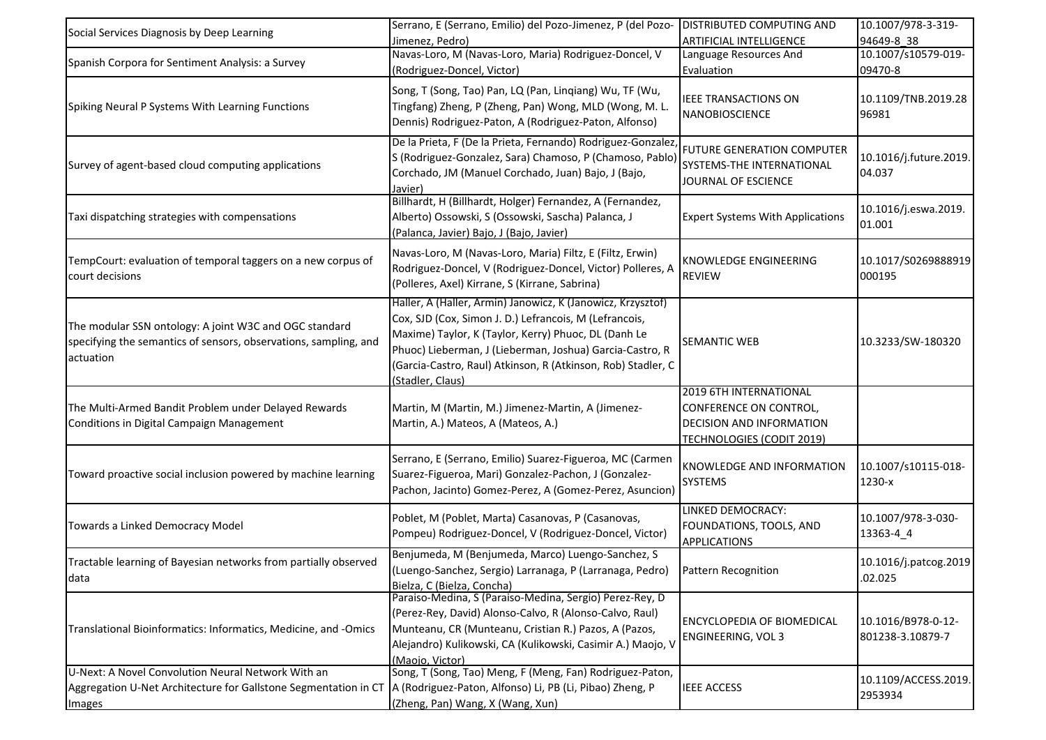| Social Services Diagnosis by Deep Learning                                                                                              | Serrano, E (Serrano, Emilio) del Pozo-Jimenez, P (del Pozo-<br>Jimenez, Pedro)                                                                                                                                                                                                                                                | <b>DISTRIBUTED COMPUTING AND</b><br>ARTIFICIAL INTELLIGENCE                                                      | 10.1007/978-3-319-<br>94649-8 38       |
|-----------------------------------------------------------------------------------------------------------------------------------------|-------------------------------------------------------------------------------------------------------------------------------------------------------------------------------------------------------------------------------------------------------------------------------------------------------------------------------|------------------------------------------------------------------------------------------------------------------|----------------------------------------|
| Spanish Corpora for Sentiment Analysis: a Survey                                                                                        | Navas-Loro, M (Navas-Loro, Maria) Rodriguez-Doncel, V<br>(Rodriguez-Doncel, Victor)                                                                                                                                                                                                                                           | Language Resources And<br>Evaluation                                                                             | 10.1007/s10579-019-<br>09470-8         |
| Spiking Neural P Systems With Learning Functions                                                                                        | Song, T (Song, Tao) Pan, LQ (Pan, Linqiang) Wu, TF (Wu,<br>Tingfang) Zheng, P (Zheng, Pan) Wong, MLD (Wong, M. L.<br>Dennis) Rodriguez-Paton, A (Rodriguez-Paton, Alfonso)                                                                                                                                                    | <b>IEEE TRANSACTIONS ON</b><br><b>NANOBIOSCIENCE</b>                                                             | 10.1109/TNB.2019.28<br>96981           |
| Survey of agent-based cloud computing applications                                                                                      | De la Prieta, F (De la Prieta, Fernando) Rodriguez-Gonzalez,<br>S (Rodriguez-Gonzalez, Sara) Chamoso, P (Chamoso, Pablo)<br>Corchado, JM (Manuel Corchado, Juan) Bajo, J (Bajo,<br>Javier)                                                                                                                                    | <b>FUTURE GENERATION COMPUTER</b><br>SYSTEMS-THE INTERNATIONAL<br>JOURNAL OF ESCIENCE                            | 10.1016/j.future.2019.<br>04.037       |
| Taxi dispatching strategies with compensations                                                                                          | Billhardt, H (Billhardt, Holger) Fernandez, A (Fernandez,<br>Alberto) Ossowski, S (Ossowski, Sascha) Palanca, J<br>(Palanca, Javier) Bajo, J (Bajo, Javier)                                                                                                                                                                   | <b>Expert Systems With Applications</b>                                                                          | 10.1016/j.eswa.2019.<br>01.001         |
| TempCourt: evaluation of temporal taggers on a new corpus of<br>court decisions                                                         | Navas-Loro, M (Navas-Loro, Maria) Filtz, E (Filtz, Erwin)<br>Rodriguez-Doncel, V (Rodriguez-Doncel, Victor) Polleres, A<br>(Polleres, Axel) Kirrane, S (Kirrane, Sabrina)                                                                                                                                                     | KNOWLEDGE ENGINEERING<br><b>REVIEW</b>                                                                           | 10.1017/S0269888919<br>000195          |
| The modular SSN ontology: A joint W3C and OGC standard<br>specifying the semantics of sensors, observations, sampling, and<br>actuation | Haller, A (Haller, Armin) Janowicz, K (Janowicz, Krzysztof)<br>Cox, SJD (Cox, Simon J. D.) Lefrancois, M (Lefrancois,<br>Maxime) Taylor, K (Taylor, Kerry) Phuoc, DL (Danh Le<br>Phuoc) Lieberman, J (Lieberman, Joshua) Garcia-Castro, R<br>(Garcia-Castro, Raul) Atkinson, R (Atkinson, Rob) Stadler, C<br>(Stadler, Claus) | <b>SEMANTIC WEB</b>                                                                                              | 10.3233/SW-180320                      |
| The Multi-Armed Bandit Problem under Delayed Rewards<br>Conditions in Digital Campaign Management                                       | Martin, M (Martin, M.) Jimenez-Martin, A (Jimenez-<br>Martin, A.) Mateos, A (Mateos, A.)                                                                                                                                                                                                                                      | 2019 6TH INTERNATIONAL<br>CONFERENCE ON CONTROL,<br>DECISION AND INFORMATION<br><b>TECHNOLOGIES (CODIT 2019)</b> |                                        |
| Toward proactive social inclusion powered by machine learning                                                                           | Serrano, E (Serrano, Emilio) Suarez-Figueroa, MC (Carmen<br>Suarez-Figueroa, Mari) Gonzalez-Pachon, J (Gonzalez-<br>Pachon, Jacinto) Gomez-Perez, A (Gomez-Perez, Asuncion)                                                                                                                                                   | KNOWLEDGE AND INFORMATION<br><b>SYSTEMS</b>                                                                      | 10.1007/s10115-018-<br>1230-x          |
| Towards a Linked Democracy Model                                                                                                        | Poblet, M (Poblet, Marta) Casanovas, P (Casanovas,<br>Pompeu) Rodriguez-Doncel, V (Rodriguez-Doncel, Victor)                                                                                                                                                                                                                  | LINKED DEMOCRACY:<br>FOUNDATIONS, TOOLS, AND<br><b>APPLICATIONS</b>                                              | 10.1007/978-3-030-<br>13363-4 4        |
| Tractable learning of Bayesian networks from partially observed<br>data                                                                 | Benjumeda, M (Benjumeda, Marco) Luengo-Sanchez, S<br>(Luengo-Sanchez, Sergio) Larranaga, P (Larranaga, Pedro)<br>Bielza, C (Bielza, Concha)                                                                                                                                                                                   | <b>Pattern Recognition</b>                                                                                       | 10.1016/j.patcog.2019<br>.02.025       |
| Translational Bioinformatics: Informatics, Medicine, and -Omics                                                                         | Paraiso-Medina, S (Paraiso-Medina, Sergio) Perez-Rey, D<br>(Perez-Rey, David) Alonso-Calvo, R (Alonso-Calvo, Raul)<br>Munteanu, CR (Munteanu, Cristian R.) Pazos, A (Pazos,<br>Alejandro) Kulikowski, CA (Kulikowski, Casimir A.) Maojo, V<br>(Maojo, Victor)                                                                 | <b>ENCYCLOPEDIA OF BIOMEDICAL</b><br><b>ENGINEERING, VOL 3</b>                                                   | 10.1016/B978-0-12-<br>801238-3.10879-7 |
| U-Next: A Novel Convolution Neural Network With an<br>Aggregation U-Net Architecture for Gallstone Segmentation in CT<br>Images         | Song, T (Song, Tao) Meng, F (Meng, Fan) Rodriguez-Paton,<br>A (Rodriguez-Paton, Alfonso) Li, PB (Li, Pibao) Zheng, P<br>(Zheng, Pan) Wang, X (Wang, Xun)                                                                                                                                                                      | <b>IEEE ACCESS</b>                                                                                               | 10.1109/ACCESS.2019.<br>2953934        |